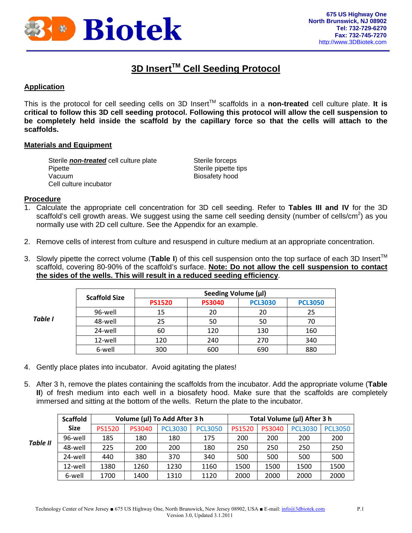

## **3D Insert™ Cell Seeding Protocol**

## **Application**

This is the protocol for cell seeding cells on 3D Insert™ scaffolds in a **non-treated** cell culture plate. **It is critical to follow this 3D cell seeding protocol. Following this protocol will allow the cell suspension to be completely held inside the scaffold by the capillary force so that the cells will attach to the scaffolds.**

## **Materials and Equipment**

Sterile **non-treated** cell culture plate Sterile forceps Pipette Sterile pipette tips Vacuum **Biosafety** hood Cell culture incubator

#### **Procedure**

- 1. Calculate the appropriate cell concentration for 3D cell seeding. Refer to **Tables III and IV** for the 3D scaffold's cell growth areas. We suggest using the same cell seeding density (number of cells/cm<sup>2</sup>) as you normally use with 2D cell culture. See the Appendix for an example.
- 2. Remove cells of interest from culture and resuspend in culture medium at an appropriate concentration.
- 3. Slowly pipette the correct volume (Table I) of this cell suspension onto the top surface of each 3D Insert<sup>™</sup> scaffold, covering 80-90% of the scaffold's surface. **Note: Do not allow the cell suspension to contact the sides of the wells. This will result in a reduced seeding efficiency**.

| Table I | <b>Scaffold Size</b> | Seeding Volume (µl) |               |                |                |  |  |
|---------|----------------------|---------------------|---------------|----------------|----------------|--|--|
|         |                      | <b>PS1520</b>       | <b>PS3040</b> | <b>PCL3030</b> | <b>PCL3050</b> |  |  |
|         | 96-well              | 15                  | 20            | 20             | 25             |  |  |
|         | 48-well              | 25                  | 50            | 50             | 70             |  |  |
|         | 24-well              | 60                  | 120           | 130            | 160            |  |  |
|         | 12-well              | 120                 | 240           | 270            | 340            |  |  |
|         | 6-well               | 300                 | 600           | 690            | 880            |  |  |

- 4. Gently place plates into incubator. Avoid agitating the plates!
- 5. After 3 h, remove the plates containing the scaffolds from the incubator. Add the appropriate volume (**Table II**) of fresh medium into each well in a biosafety hood. Make sure that the scaffolds are completely immersed and sitting at the bottom of the wells. Return the plate to the incubator.

|                 | <b>Scaffold</b> | Volume (µl) To Add After 3 h |        |                | Total Volume (µl) After 3 h |               |               |                |                |
|-----------------|-----------------|------------------------------|--------|----------------|-----------------------------|---------------|---------------|----------------|----------------|
| <b>Table II</b> | <b>Size</b>     | <b>PS1520</b>                | PS3040 | <b>PCL3030</b> | <b>PCL3050</b>              | <b>PS1520</b> | <b>PS3040</b> | <b>PCL3030</b> | <b>PCL3050</b> |
|                 | 96-well         | 185                          | 180    | 180            | 175                         | 200           | 200           | 200            | 200            |
|                 | 48-well         | 225                          | 200    | 200            | 180                         | 250           | 250           | 250            | 250            |
|                 | 24-well         | 440                          | 380    | 370            | 340                         | 500           | 500           | 500            | 500            |
|                 | 12-well         | 1380                         | 1260   | 1230           | 1160                        | 1500          | 1500          | 1500           | 1500           |
|                 | 6-well          | 1700                         | 1400   | 1310           | 1120                        | 2000          | 2000          | 2000           | 2000           |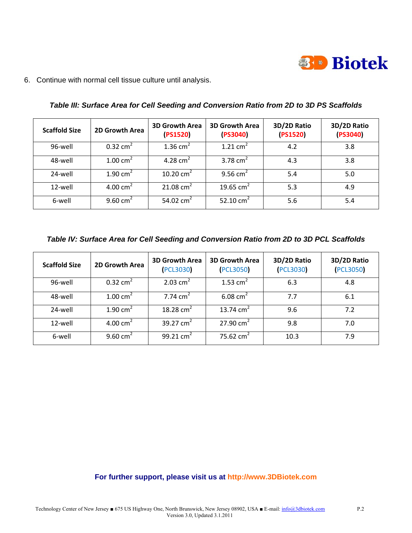

6. Continue with normal cell tissue culture until analysis.

| <b>Scaffold Size</b> | 2D Growth Area      | <b>3D Growth Area</b><br>(PS1520) | <b>3D Growth Area</b><br>(PS3040) | 3D/2D Ratio<br>(PS1520) | 3D/2D Ratio<br>(PS3040) |
|----------------------|---------------------|-----------------------------------|-----------------------------------|-------------------------|-------------------------|
| 96-well              | $0.32 \text{ cm}^2$ | $1.36$ cm <sup>2</sup>            | 1.21 $cm2$                        | 4.2                     | 3.8                     |
| 48-well              | 1.00 $cm2$          | 4.28 $cm2$                        | 3.78 $cm2$                        | 4.3                     | 3.8                     |
| 24-well              | 1.90 $cm2$          | 10.20 $cm2$                       | 9.56 $cm2$                        | 5.4                     | 5.0                     |
| 12-well              | 4.00 $cm2$          | 21.08 $cm2$                       | 19.65 $cm2$                       | 5.3                     | 4.9                     |
| 6-well               | 9.60 $cm2$          | 54.02 $cm2$                       | 52.10 $cm2$                       | 5.6                     | 5.4                     |

*Table III: Surface Area for Cell Seeding and Conversion Ratio from 2D to 3D PS Scaffolds* 

*Table IV: Surface Area for Cell Seeding and Conversion Ratio from 2D to 3D PCL Scaffolds* 

| <b>Scaffold Size</b> | 2D Growth Area      | <b>3D Growth Area</b><br><b>PCL3030</b> | <b>3D Growth Area</b><br><b>(PCL3050)</b> | 3D/2D Ratio<br>(PCL3030) | 3D/2D Ratio<br>(PCL3050) |
|----------------------|---------------------|-----------------------------------------|-------------------------------------------|--------------------------|--------------------------|
| 96-well              | $0.32 \text{ cm}^2$ | 2.03 $cm2$                              | 1.53 $cm2$                                | 6.3                      | 4.8                      |
| 48-well              | $1.00 \text{ cm}^2$ | 7.74 $cm2$                              | 6.08 $cm2$                                | 7.7                      | 6.1                      |
| 24-well              | $1.90 \text{ cm}^2$ | 18.28 $cm2$                             | 13.74 $cm2$                               | 9.6                      | 7.2                      |
| 12-well              | 4.00 $cm2$          | 39.27 $cm2$                             | 27.90 $cm2$                               | 9.8                      | 7.0                      |
| 6-well               | 9.60 $cm2$          | 99.21 $cm2$                             | 75.62 $cm2$                               | 10.3                     | 7.9                      |

## **For further support, please visit us at http://www.3DBiotek.com**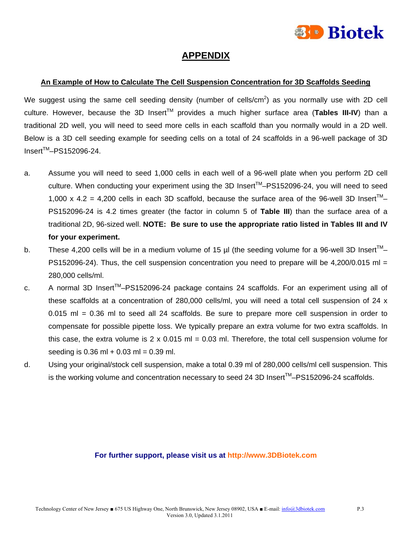

## **APPENDIX**

## **An Example of How to Calculate The Cell Suspension Concentration for 3D Scaffolds Seeding**

We suggest using the same cell seeding density (number of cells/cm<sup>2</sup>) as you normally use with 2D cell culture. However, because the 3D Insert™ provides a much higher surface area (**Tables III-IV**) than a traditional 2D well, you will need to seed more cells in each scaffold than you normally would in a 2D well. Below is a 3D cell seeding example for seeding cells on a total of 24 scaffolds in a 96-well package of 3D Insert<sup>™</sup>-PS152096-24.

- a. Assume you will need to seed 1,000 cells in each well of a 96-well plate when you perform 2D cell culture. When conducting your experiment using the 3D Insert™–PS152096-24, you will need to seed 1,000 x 4.2 = 4,200 cells in each 3D scaffold, because the surface area of the 96-well 3D Insert<sup>TM</sup>-PS152096-24 is 4.2 times greater (the factor in column 5 of **Table III**) than the surface area of a traditional 2D, 96-sized well. **NOTE: Be sure to use the appropriate ratio listed in Tables III and IV for your experiment.**
- b. These 4,200 cells will be in a medium volume of 15 µl (the seeding volume for a 96-well 3D Insert<sup>TM</sup>-PS152096-24). Thus, the cell suspension concentration you need to prepare will be 4,200/0.015 ml  $=$ 280,000 cells/ml.
- c. A normal 3D Insert<sup>TM</sup>-PS152096-24 package contains 24 scaffolds. For an experiment using all of these scaffolds at a concentration of 280,000 cells/ml, you will need a total cell suspension of 24 x 0.015 ml = 0.36 ml to seed all 24 scaffolds. Be sure to prepare more cell suspension in order to compensate for possible pipette loss. We typically prepare an extra volume for two extra scaffolds. In this case, the extra volume is  $2 \times 0.015$  ml = 0.03 ml. Therefore, the total cell suspension volume for seeding is  $0.36$  ml +  $0.03$  ml =  $0.39$  ml.
- d. Using your original/stock cell suspension, make a total 0.39 ml of 280,000 cells/ml cell suspension. This is the working volume and concentration necessary to seed 24 3D Insert<sup>TM</sup>-PS152096-24 scaffolds.

## **For further support, please visit us at http://www.3DBiotek.com**